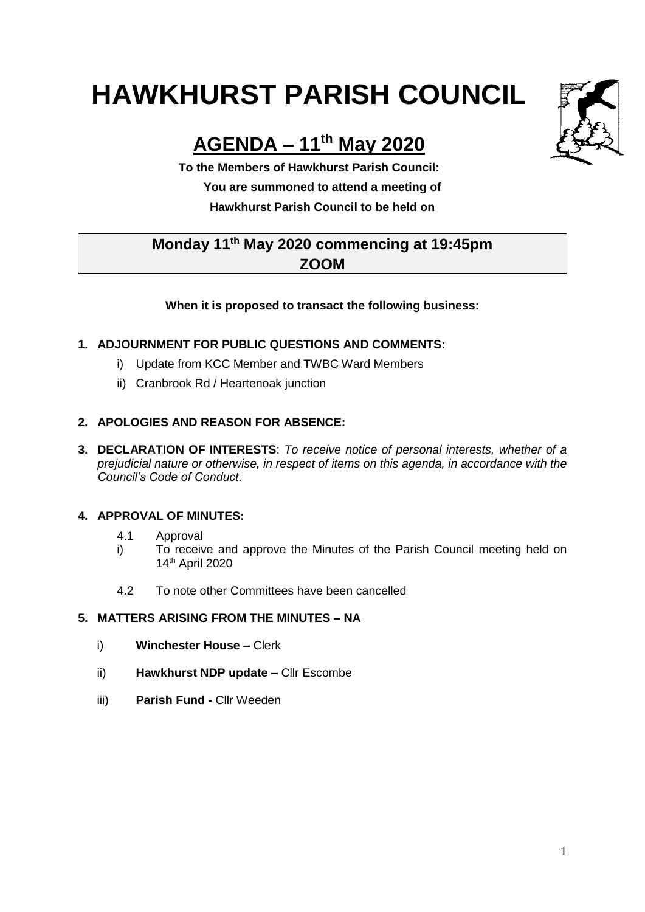# **HAWKHURST PARISH COUNCIL**

# **AGENDA – 11 th May 2020**

**To the Members of Hawkhurst Parish Council: You are summoned to attend a meeting of Hawkhurst Parish Council to be held on**

## **Monday 11 th May 2020 commencing at 19:45pm ZOOM**

#### **When it is proposed to transact the following business:**

#### **1. ADJOURNMENT FOR PUBLIC QUESTIONS AND COMMENTS:**

- i) Update from KCC Member and TWBC Ward Members
- ii) Cranbrook Rd / Heartenoak junction

#### **2. APOLOGIES AND REASON FOR ABSENCE:**

**3. DECLARATION OF INTERESTS**: *To receive notice of personal interests, whether of a prejudicial nature or otherwise, in respect of items on this agenda, in accordance with the Council's Code of Conduct.*

#### **4. APPROVAL OF MINUTES:**

- 4.1 Approval
- i) To receive and approve the Minutes of the Parish Council meeting held on 14th April 2020
- 4.2 To note other Committees have been cancelled

#### **5. MATTERS ARISING FROM THE MINUTES – NA**

- i) **Winchester House –** Clerk
- ii) **Hawkhurst NDP update –** Cllr Escombe
- iii) **Parish Fund -** Cllr Weeden



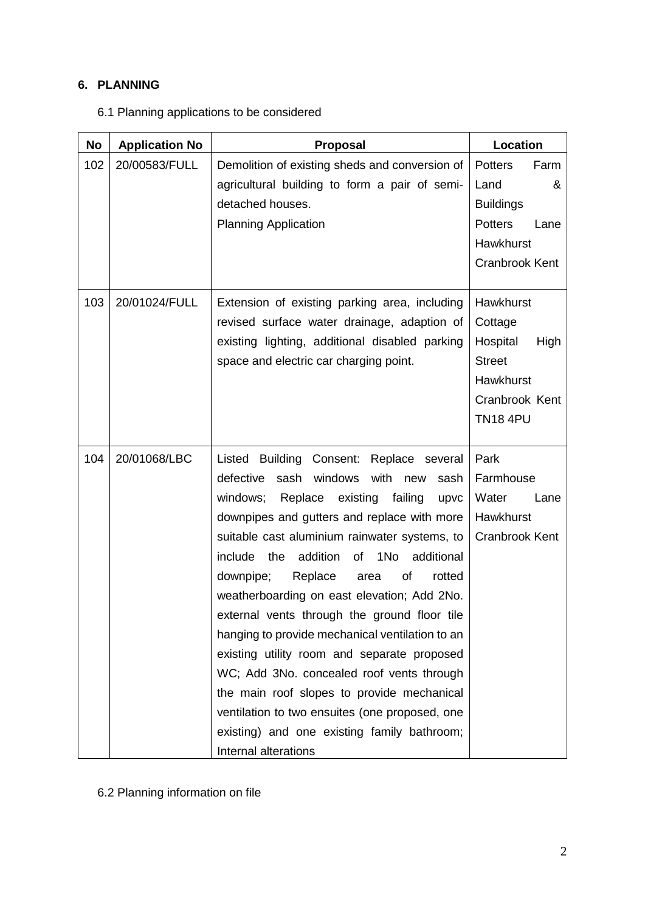### **6. PLANNING**

| No  | <b>Application No</b> | <b>Proposal</b>                                                   | Location               |
|-----|-----------------------|-------------------------------------------------------------------|------------------------|
| 102 | 20/00583/FULL         | Demolition of existing sheds and conversion of                    | Potters<br>Farm        |
|     |                       | agricultural building to form a pair of semi-                     | Land<br>&              |
|     |                       | detached houses.                                                  | <b>Buildings</b>       |
|     |                       | <b>Planning Application</b>                                       | <b>Potters</b><br>Lane |
|     |                       |                                                                   | Hawkhurst              |
|     |                       |                                                                   | <b>Cranbrook Kent</b>  |
| 103 | 20/01024/FULL         | Extension of existing parking area, including                     | Hawkhurst              |
|     |                       | revised surface water drainage, adaption of                       | Cottage                |
|     |                       | existing lighting, additional disabled parking                    | Hospital<br>High       |
|     |                       | space and electric car charging point.                            | <b>Street</b>          |
|     |                       |                                                                   | Hawkhurst              |
|     |                       |                                                                   | Cranbrook Kent         |
|     |                       |                                                                   | <b>TN18 4PU</b>        |
|     |                       |                                                                   |                        |
| 104 | 20/01068/LBC          | Listed Building Consent: Replace several                          | Park                   |
|     |                       | defective<br>sash<br>windows<br>with new<br>sash                  | Farmhouse              |
|     |                       | windows;<br>Replace<br>existing<br>failing<br>upvc                | Water<br>Lane          |
|     |                       | downpipes and gutters and replace with more                       | Hawkhurst              |
|     |                       | suitable cast aluminium rainwater systems, to                     | <b>Cranbrook Kent</b>  |
|     |                       | addition<br>include<br>the<br>of<br>1N <sub>o</sub><br>additional |                        |
|     |                       | downpipe;<br>Replace<br>of<br>rotted<br>area                      |                        |
|     |                       | weatherboarding on east elevation; Add 2No.                       |                        |
|     |                       | external vents through the ground floor tile                      |                        |
|     |                       | hanging to provide mechanical ventilation to an                   |                        |
|     |                       | existing utility room and separate proposed                       |                        |
|     |                       | WC; Add 3No. concealed roof vents through                         |                        |
|     |                       | the main roof slopes to provide mechanical                        |                        |
|     |                       | ventilation to two ensuites (one proposed, one                    |                        |
|     |                       | existing) and one existing family bathroom;                       |                        |
|     |                       | Internal alterations                                              |                        |

6.2 Planning information on file